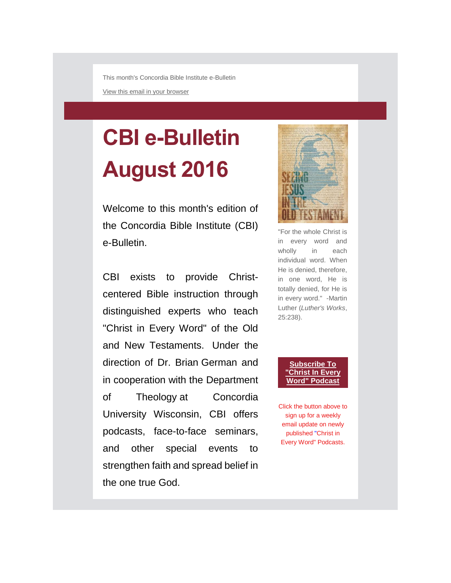This month's Concordia Bible Institute e-Bulletin

[View this email in your browser](mhtml:file://C:/Users/cmehall/AppData/Local/Microsoft/Windows/Temporary%20Internet%20Files/Content.Outlook/RF31NNGA/email.mht!*|ARCHIVE|*)

# **CBI e-Bulletin August 2016**

Welcome to this month's edition of the Concordia Bible Institute (CBI) e-Bulletin.

CBI exists to provide Christcentered Bible instruction through distinguished experts who teach "Christ in Every Word" of the Old and New Testaments. Under the direction of Dr. Brian German and in cooperation with the Department of Theology at Concordia University Wisconsin, CBI offers podcasts, face-to-face seminars, and other special events to strengthen faith and spread belief in the one true God.



"For the whole Christ is in every word and wholly in each individual word. When He is denied, therefore, in one word, He is totally denied, for He is in every word." -Martin Luther (*Luther's Works*, 25:238).

#### **[Subscribe To](http://eepurl.com/UzUrT)  ["Christ In Every](http://eepurl.com/UzUrT)**  Word" **Podcas**

Click the button above to sign up for a weekly email update on newly published "Christ in Every Word" Podcasts.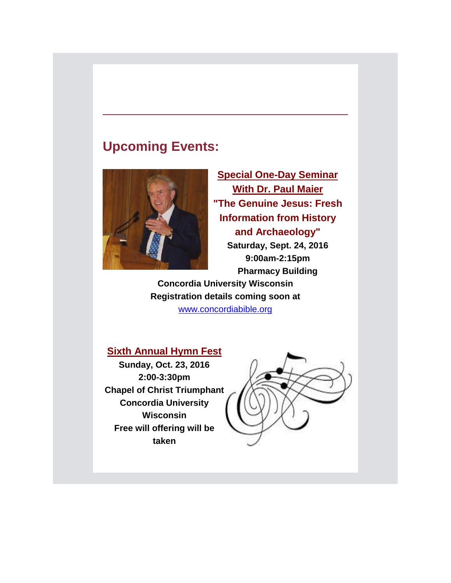# **Upcoming Events:**



**Special One-Day Seminar With Dr. Paul Maier "The Genuine Jesus: Fresh Information from History and Archaeology" Saturday, Sept. 24, 2016 9:00am-2:15pm**

**Pharmacy Building**

**Concordia University Wisconsin Registration details coming soon at** 

[www.concordiabible.org](http://www.concordiabible.org/2016/07/08/coming-soon-dr-paul-l-maier-returns-cuw/)

## **Sixth Annual Hymn Fest**

**Sunday, Oct. 23, 2016 2:00-3:30pm Chapel of Christ Triumphant Concordia University Wisconsin Free will offering will be taken**

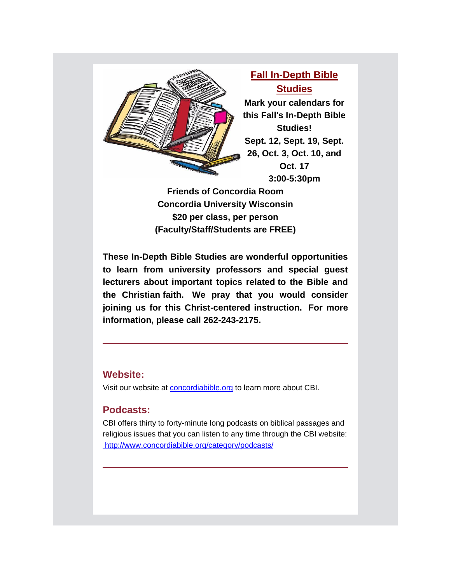

**Fall In-Depth Bible Studies Mark your calendars for this Fall's In-Depth Bible Studies! Sept. 12, Sept. 19, Sept. 26, Oct. 3, Oct. 10, and Oct. 17 3:00-5:30pm**

**Friends of Concordia Room Concordia University Wisconsin \$20 per class, per person (Faculty/Staff/Students are FREE)**

**These In-Depth Bible Studies are wonderful opportunities to learn from university professors and special guest lecturers about important topics related to the Bible and the Christian faith. We pray that you would consider joining us for this Christ-centered instruction. For more information, please call 262-243-2175.**

#### **Website:**

Visit our website at [concordiabible.org](http://www.concordiabible.org/) to learn more about CBI.

### **Podcasts:**

CBI offers thirty to forty-minute long podcasts on biblical passages and religious issues that you can listen to any time through the CBI website: <http://www.concordiabible.org/category/podcasts/>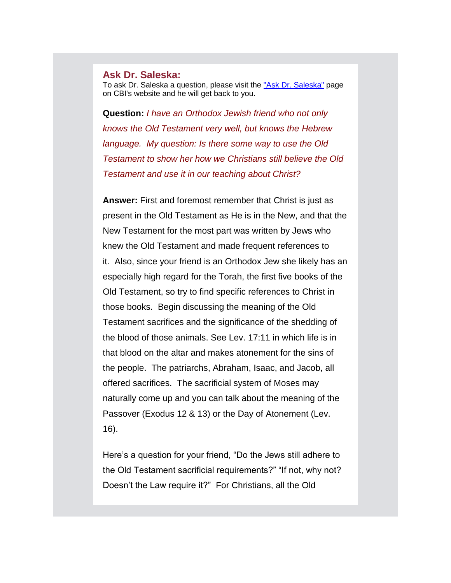#### **Ask Dr. Saleska:**

To ask Dr. Saleska a question, please visit the ["Ask Dr. Saleska"](http://www.concordiabible.org/ask-dr-saleska/) page on CBI's website and he will get back to you.

**Question:** *I have an Orthodox Jewish friend who not only knows the Old Testament very well, but knows the Hebrew language. My question: Is there some way to use the Old Testament to show her how we Christians still believe the Old Testament and use it in our teaching about Christ?*

**Answer:** First and foremost remember that Christ is just as present in the Old Testament as He is in the New, and that the New Testament for the most part was written by Jews who knew the Old Testament and made frequent references to it. Also, since your friend is an Orthodox Jew she likely has an especially high regard for the Torah, the first five books of the Old Testament, so try to find specific references to Christ in those books. Begin discussing the meaning of the Old Testament sacrifices and the significance of the shedding of the blood of those animals. See Lev. 17:11 in which life is in that blood on the altar and makes atonement for the sins of the people. The patriarchs, Abraham, Isaac, and Jacob, all offered sacrifices. The sacrificial system of Moses may naturally come up and you can talk about the meaning of the Passover (Exodus 12 & 13) or the Day of Atonement (Lev. 16).

Here's a question for your friend, "Do the Jews still adhere to the Old Testament sacrificial requirements?" "If not, why not? Doesn't the Law require it?" For Christians, all the Old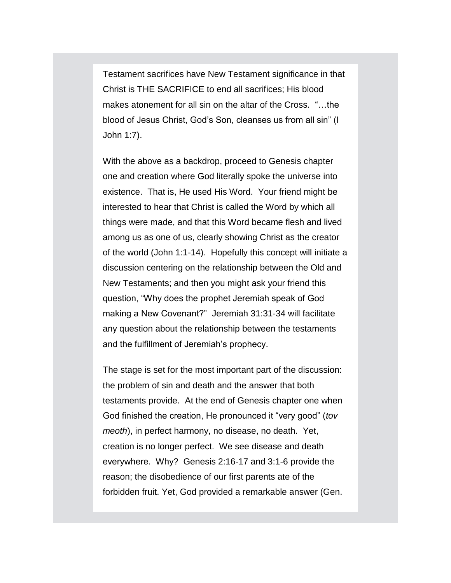Testament sacrifices have New Testament significance in that Christ is THE SACRIFICE to end all sacrifices; His blood makes atonement for all sin on the altar of the Cross. "…the blood of Jesus Christ, God's Son, cleanses us from all sin" (I John 1:7).

With the above as a backdrop, proceed to Genesis chapter one and creation where God literally spoke the universe into existence. That is, He used His Word. Your friend might be interested to hear that Christ is called the Word by which all things were made, and that this Word became flesh and lived among us as one of us, clearly showing Christ as the creator of the world (John 1:1-14). Hopefully this concept will initiate a discussion centering on the relationship between the Old and New Testaments; and then you might ask your friend this question, "Why does the prophet Jeremiah speak of God making a New Covenant?" Jeremiah 31:31-34 will facilitate any question about the relationship between the testaments and the fulfillment of Jeremiah's prophecy.

The stage is set for the most important part of the discussion: the problem of sin and death and the answer that both testaments provide. At the end of Genesis chapter one when God finished the creation, He pronounced it "very good" (*tov meoth*), in perfect harmony, no disease, no death. Yet, creation is no longer perfect. We see disease and death everywhere. Why? Genesis 2:16-17 and 3:1-6 provide the reason; the disobedience of our first parents ate of the forbidden fruit. Yet, God provided a remarkable answer (Gen.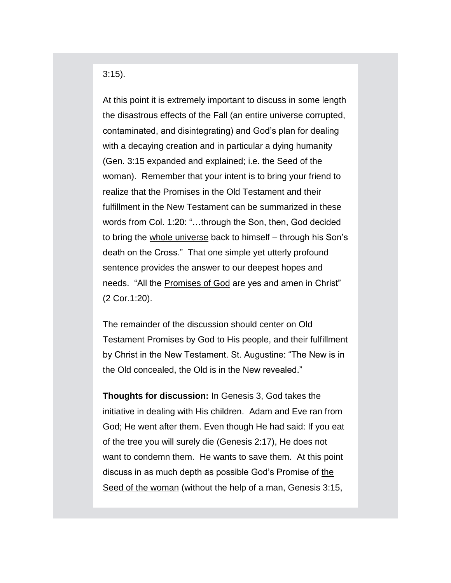3:15).

At this point it is extremely important to discuss in some length the disastrous effects of the Fall (an entire universe corrupted, contaminated, and disintegrating) and God's plan for dealing with a decaying creation and in particular a dying humanity (Gen. 3:15 expanded and explained; i.e. the Seed of the woman). Remember that your intent is to bring your friend to realize that the Promises in the Old Testament and their fulfillment in the New Testament can be summarized in these words from Col. 1:20: "…through the Son, then, God decided to bring the whole universe back to himself – through his Son's death on the Cross." That one simple yet utterly profound sentence provides the answer to our deepest hopes and needs. "All the Promises of God are yes and amen in Christ" (2 Cor.1:20).

The remainder of the discussion should center on Old Testament Promises by God to His people, and their fulfillment by Christ in the New Testament. St. Augustine: "The New is in the Old concealed, the Old is in the New revealed."

**Thoughts for discussion:** In Genesis 3, God takes the initiative in dealing with His children. Adam and Eve ran from God; He went after them. Even though He had said: If you eat of the tree you will surely die (Genesis 2:17), He does not want to condemn them. He wants to save them. At this point discuss in as much depth as possible God's Promise of the Seed of the woman (without the help of a man, Genesis 3:15,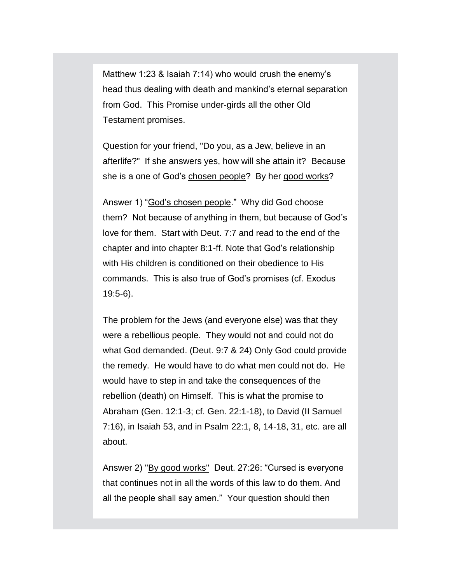Matthew 1:23 & Isaiah 7:14) who would crush the enemy's head thus dealing with death and mankind's eternal separation from God. This Promise under-girds all the other Old Testament promises.

Question for your friend, "Do you, as a Jew, believe in an afterlife?" If she answers yes, how will she attain it? Because she is a one of God's chosen people? By her good works?

Answer 1) "God's chosen people." Why did God choose them? Not because of anything in them, but because of God's love for them. Start with Deut. 7:7 and read to the end of the chapter and into chapter 8:1-ff. Note that God's relationship with His children is conditioned on their obedience to His commands. This is also true of God's promises (cf. Exodus 19:5-6).

The problem for the Jews (and everyone else) was that they were a rebellious people. They would not and could not do what God demanded. (Deut. 9:7 & 24) Only God could provide the remedy. He would have to do what men could not do. He would have to step in and take the consequences of the rebellion (death) on Himself. This is what the promise to Abraham (Gen. 12:1-3; cf. Gen. 22:1-18), to David (II Samuel 7:16), in Isaiah 53, and in Psalm 22:1, 8, 14-18, 31, etc. are all about.

Answer 2) "By good works" Deut. 27:26: "Cursed is everyone that continues not in all the words of this law to do them. And all the people shall say amen." Your question should then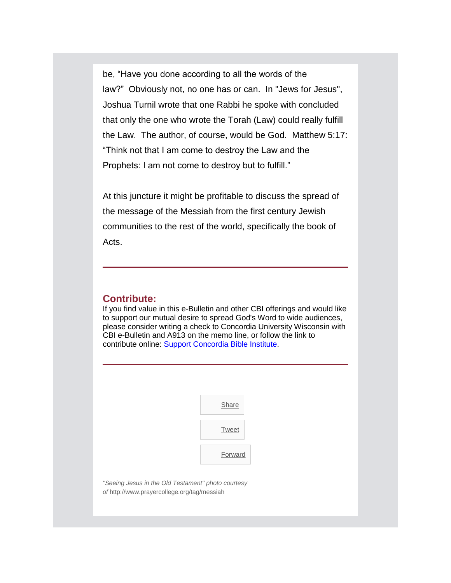be, "Have you done according to all the words of the law?" Obviously not, no one has or can. In "Jews for Jesus", Joshua Turnil wrote that one Rabbi he spoke with concluded that only the one who wrote the Torah (Law) could really fulfill the Law. The author, of course, would be God. Matthew 5:17: "Think not that I am come to destroy the Law and the Prophets: I am not come to destroy but to fulfill."

At this juncture it might be profitable to discuss the spread of the message of the Messiah from the first century Jewish communities to the rest of the world, specifically the book of Acts.

#### **Contribute:**

If you find value in this e-Bulletin and other CBI offerings and would like to support our mutual desire to spread God's Word to wide audiences, please consider writing a check to Concordia University Wisconsin with CBI e-Bulletin and A913 on the memo line, or follow the link to contribute online: [Support Concordia Bible Institute.](http://www.concordiabible.org/contribute/)

| Share        |
|--------------|
| <b>Tweet</b> |
| Forward      |

*"Seeing Jesus in the Old Testament" photo courtesy of* http://www.prayercollege.org/tag/messiah